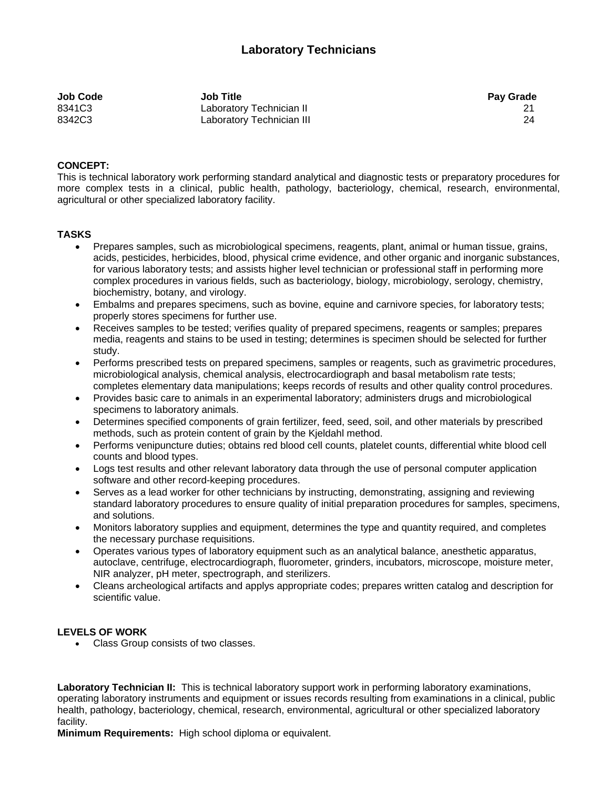| Job Code | <b>Job Title</b>          | <b>Pay Grade</b> |
|----------|---------------------------|------------------|
| 8341C3   | Laboratory Technician II  |                  |
| 8342C3   | Laboratory Technician III | 24               |

## **CONCEPT:**

This is technical laboratory work performing standard analytical and diagnostic tests or preparatory procedures for more complex tests in a clinical, public health, pathology, bacteriology, chemical, research, environmental, agricultural or other specialized laboratory facility.

## **TASKS**

- Prepares samples, such as microbiological specimens, reagents, plant, animal or human tissue, grains, acids, pesticides, herbicides, blood, physical crime evidence, and other organic and inorganic substances, for various laboratory tests; and assists higher level technician or professional staff in performing more complex procedures in various fields, such as bacteriology, biology, microbiology, serology, chemistry, biochemistry, botany, and virology.
- Embalms and prepares specimens, such as bovine, equine and carnivore species, for laboratory tests; properly stores specimens for further use.
- Receives samples to be tested; verifies quality of prepared specimens, reagents or samples; prepares media, reagents and stains to be used in testing; determines is specimen should be selected for further study.
- Performs prescribed tests on prepared specimens, samples or reagents, such as gravimetric procedures, microbiological analysis, chemical analysis, electrocardiograph and basal metabolism rate tests; completes elementary data manipulations; keeps records of results and other quality control procedures.
- Provides basic care to animals in an experimental laboratory; administers drugs and microbiological specimens to laboratory animals.
- Determines specified components of grain fertilizer, feed, seed, soil, and other materials by prescribed methods, such as protein content of grain by the Kjeldahl method.
- Performs venipuncture duties; obtains red blood cell counts, platelet counts, differential white blood cell counts and blood types.
- Logs test results and other relevant laboratory data through the use of personal computer application software and other record-keeping procedures.
- Serves as a lead worker for other technicians by instructing, demonstrating, assigning and reviewing standard laboratory procedures to ensure quality of initial preparation procedures for samples, specimens, and solutions.
- Monitors laboratory supplies and equipment, determines the type and quantity required, and completes the necessary purchase requisitions.
- Operates various types of laboratory equipment such as an analytical balance, anesthetic apparatus, autoclave, centrifuge, electrocardiograph, fluorometer, grinders, incubators, microscope, moisture meter, NIR analyzer, pH meter, spectrograph, and sterilizers.
- Cleans archeological artifacts and applys appropriate codes; prepares written catalog and description for scientific value.

## **LEVELS OF WORK**

• Class Group consists of two classes.

**Laboratory Technician II:** This is technical laboratory support work in performing laboratory examinations, operating laboratory instruments and equipment or issues records resulting from examinations in a clinical, public health, pathology, bacteriology, chemical, research, environmental, agricultural or other specialized laboratory facility.

**Minimum Requirements:** High school diploma or equivalent.